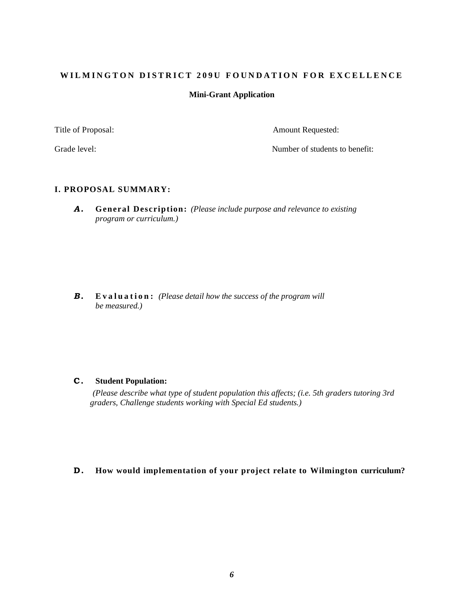### **Mini-Grant Application**

Title of Proposal: Amount Requested:

Grade level: Grade level: Server and the Server of Students to benefit: Server and Server and Server and Server and Server and Server and Server and Server and Server and Server and Server and Server and Server and Server

### **I. PROPOSAL SUMMARY:**

*A .* **General Description:** *(Please include purpose and relevance to existing program or curriculum.)*

**B. Evaluation:** *(Please detail how the success of the program will all the success of the program will be measured.)*

### **C . Student Population:**

*(Please describe what type of student population this affects; (i.e. 5th graders tutoring 3rd graders, Challenge students working with Special Ed students.)*

### **D . How would implementation of your project relate to Wilmington curriculum?**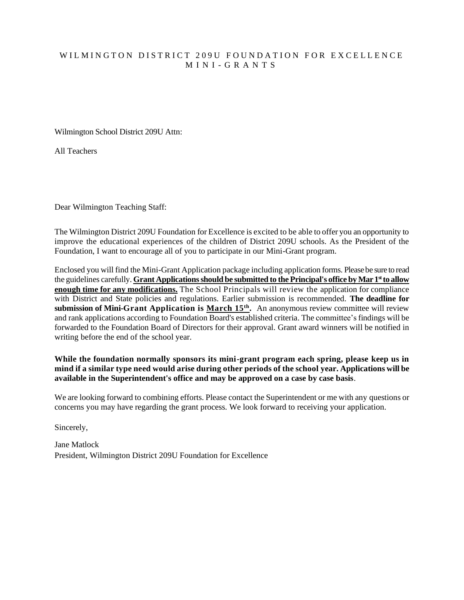## WILMINGTON DISTRICT 209U FOUNDATION FOR EXCELLENCE M I N I - G R A N T S

Wilmington School District 209U Attn:

All Teachers

Dear Wilmington Teaching Staff:

The Wilmington District 209U Foundation for Excellence is excited to be able to offer you an opportunity to improve the educational experiences of the children of District 209U schools. As the President of the Foundation, I want to encourage all of you to participate in our Mini-Grant program.

Enclosed you will find the Mini-Grant Application package including application forms. Please be sure to read the guidelines carefully. **Grant Applications should be submitted to the Principal's office by Mar 1st to allow enough time for any modifications.** The School Principals will review the application for compliance with District and State policies and regulations. Earlier submission is recommended. **The deadline for submission of Mini-Grant Application is March 15<sup>th</sup>.** An anonymous review committee will review and rank applications according to Foundation Board's established criteria. The committee's findings will be forwarded to the Foundation Board of Directors for their approval. Grant award winners will be notified in writing before the end of the school year.

**While the foundation normally sponsors its mini-grant program each spring, please keep us in mind if a similar type need would arise during other periods of the school year. Applications will be available in the Superintendent's office and may be approved on a case by case basis**.

We are looking forward to combining efforts. Please contact the Superintendent or me with any questions or concerns you may have regarding the grant process. We look forward to receiving your application.

Sincerely,

Jane Matlock President, Wilmington District 209U Foundation for Excellence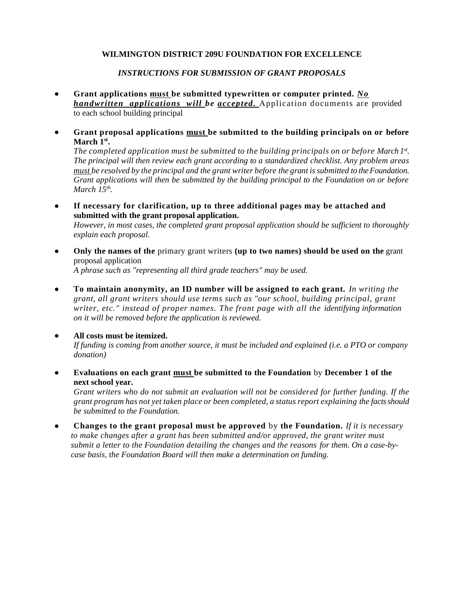### *INSTRUCTIONS FOR SUBMISSION OF GRANT PROPOSALS*

- **Grant applications must be submitted typewritten or computer printed.** *No handwritten applications will be accepted.* Application documents are provided to each school building principal
- **Grant proposal applications must be submitted to the building principals on or before March 1st .**

*The completed application must be submitted to the building principals on or before March 1st . The principal will then review each grant according to a standardized checklist. Any problem areas must be resolved by the principal and the grant writer before the grant is submitted to the Foundation. Grant applications will then be submitted by the building principal to the Foundation on or before March 15th .*

• **If necessary for clarification, up to three additional pages may be attached and submitted with the grant proposal application.**

*However, in most cases, the completed grant proposal application should be sufficient to thoroughly explain each proposal.*

• **Only the names of the** primary grant writers **(up to two names) should be used on the** grant proposal application *A phrase such as "representing all third grade teachers" may be used.*

• **To maintain anonymity, an ID number will be assigned to each grant.** *In writing the grant, all grant writers should use terms such as "our school, building principal, grant writer, etc." instead of proper names. The front page with all the identifying information* 

*on it will be removed before the application is reviewed.* • **All costs must be itemized.**

*If funding is coming from another source, it must be included and explained (i.e. a PTO or company donation)*

• **Evaluations on each grant must be submitted to the Foundation** by **December 1 of the next school year.**

*Grant writers who do not submit an evaluation will not be considered for further funding. If the grant program has not yet taken place or been completed, a status report explaining the facts should be submitted to the Foundation.*

• **Changes to the grant proposal must be approved** by **the Foundation.** *If it is necessary to make changes after a grant has been submitted and/or approved, the grant writer must submit a letter to the Foundation detailing the changes and the reasons for them. On a case-bycase basis, the Foundation Board will then make a determination on funding.*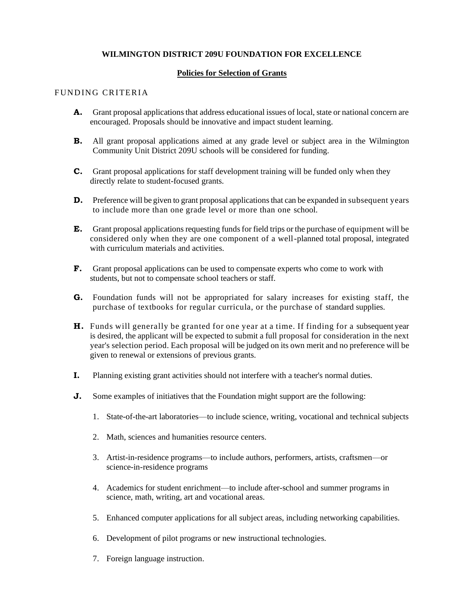### **Policies for Selection of Grants**

#### FUNDING CRITERIA

- A. Grant proposal applications that address educational issues of local, state or national concern are encouraged. Proposals should be innovative and impact student learning.
- **B.** All grant proposal applications aimed at any grade level or subject area in the Wilmington Community Unit District 209U schools will be considered for funding.
- C. Grant proposal applications for staff development training will be funded only when they directly relate to student-focused grants.
- **D.** Preference will be given to grant proposal applications that can be expanded in subsequent years to include more than one grade level or more than one school.
- E. Grant proposal applications requesting funds for field trips or the purchase of equipment will be considered only when they are one component of a well-planned total proposal, integrated with curriculum materials and activities.
- F. Grant proposal applications can be used to compensate experts who come to work with students, but not to compensate school teachers or staff.
- G. Foundation funds will not be appropriated for salary increases for existing staff, the purchase of textbooks for regular curricula, or the purchase of standard supplies.
- H. Funds will generally be granted for one year at a time. If finding for a subsequent year is desired, the applicant will be expected to submit a full proposal for consideration in the next year's selection period. Each proposal will be judged on its own merit and no preference will be given to renewal or extensions of previous grants.
- I. Planning existing grant activities should not interfere with a teacher's normal duties.
- J. Some examples of initiatives that the Foundation might support are the following:
	- 1. State-of-the-art laboratories—to include science, writing, vocational and technical subjects
	- 2. Math, sciences and humanities resource centers.
	- 3. Artist-in-residence programs—to include authors, performers, artists, craftsmen—or science-in-residence programs
	- 4. Academics for student enrichment—to include after-school and summer programs in science, math, writing, art and vocational areas.
	- 5. Enhanced computer applications for all subject areas, including networking capabilities.
	- 6. Development of pilot programs or new instructional technologies.
	- 7. Foreign language instruction.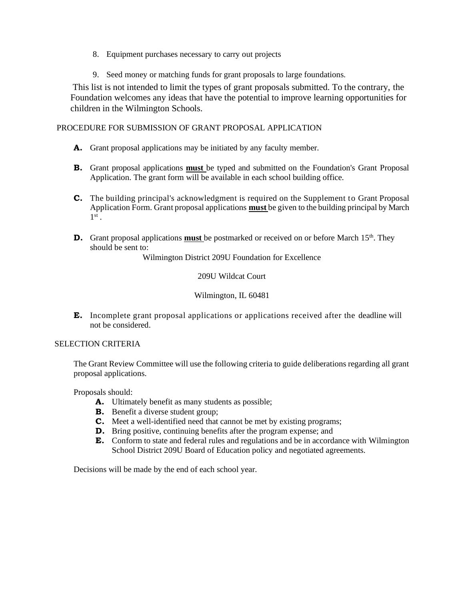- 8. Equipment purchases necessary to carry out projects
- 9. Seed money or matching funds for grant proposals to large foundations.

 This list is not intended to limit the types of grant proposals submitted. To the contrary, the Foundation welcomes any ideas that have the potential to improve learning opportunities for children in the Wilmington Schools.

PROCEDURE FOR SUBMISSION OF GRANT PROPOSAL APPLICATION

- A. Grant proposal applications may be initiated by any faculty member.
- B. Grant proposal applications **must** be typed and submitted on the Foundation's Grant Proposal Application. The grant form will be available in each school building office.
- C. The building principal's acknowledgment is required on the Supplement to Grant Proposal Application Form. Grant proposal applications **must** be given to the building principal by March  $1^\mathrm{st}$  .
- **D.** Grant proposal applications **must** be postmarked or received on or before March 15<sup>th</sup>. They should be sent to:

Wilmington District 209U Foundation for Excellence

209U Wildcat Court

Wilmington, IL 60481

E. Incomplete grant proposal applications or applications received after the deadline will not be considered.

#### SELECTION CRITERIA

The Grant Review Committee will use the following criteria to guide deliberations regarding all grant proposal applications.

Proposals should:

- A. Ultimately benefit as many students as possible;
- **B.** Benefit a diverse student group;
- C. Meet a well-identified need that cannot be met by existing programs;
- **D.** Bring positive, continuing benefits after the program expense; and
- E. Conform to state and federal rules and regulations and be in accordance with Wilmington School District 209U Board of Education policy and negotiated agreements.

Decisions will be made by the end of each school year.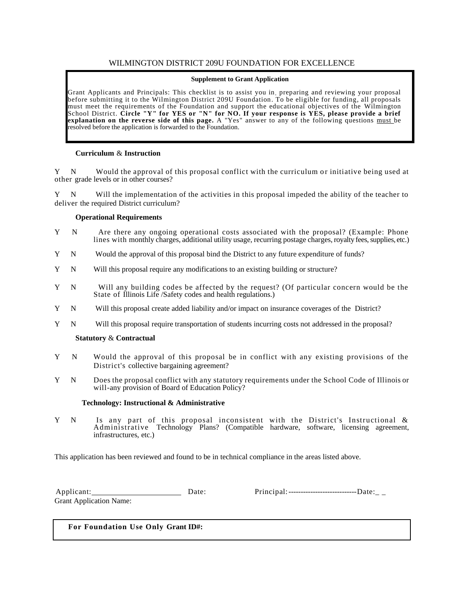#### **Supplement to Grant Application**

Grant Applicants and Principals: This checklist is to assist you in , preparing and reviewing your proposal before submitting it to the Wilmington District 209U Foundation. To be eligible for funding, all proposals must meet the requirements of the Foundation and support the educational objectives of the Wilmington School District. **Circle "Y" for YES or "N" for NO. If your response is YES, please provide a brief explanation on the reverse side of this page.** A "Yes" answer to any of the following questions must be resolved before the application is forwarded to the Foundation.

#### **Curriculum** & **Instruction**

N Would the approval of this proposal conflict with the curriculum or initiative being used at other grade levels or in other courses?

Y N Will the implementation of the activities in this proposal impeded the ability of the teacher to deliver the required District curriculum?

#### **Operational Requirements**

- Y N Are there any ongoing operational costs associated with the proposal? (Example: Phone lines with monthly charges, additional utility usage, recurring postage charges, royalty fees, supplies, etc.)
- Y N Would the approval of this proposal bind the District to any future expenditure of funds?
- Y N Will this proposal require any modifications to an existing building or structure?
- Y N Will any building codes be affected by the request? (Of particular concern would be the State of Illinois Life /Safety codes and health regulations.)
- Y N Will this proposal create added liability and/or impact on insurance coverages of the District?
- Y N Will this proposal require transportation of students incurring costs not addressed in the proposal?

#### **Statutory** & **Contractual**

- Y N Would the approval of this proposal be in conflict with any existing provisions of the District's collective bargaining agreement?
- Y N Does the proposal conflict with any statutory requirements under the School Code of Illinois or will-any provision of Board of Education Policy?

#### **Technology: Instructional & Administrative**

Y N Is any part of this proposal inconsistent with the District's Instructional & Administrative Technology Plans? (Compatible hardware, software, licensing agreement, infrastructures, etc.)

This application has been reviewed and found to be in technical compliance in the areas listed above.

Applicant: Date: Principal:----------------------------Date:\_ \_ Grant Application Name:

**For Foundation Use Only Grant ID#:**